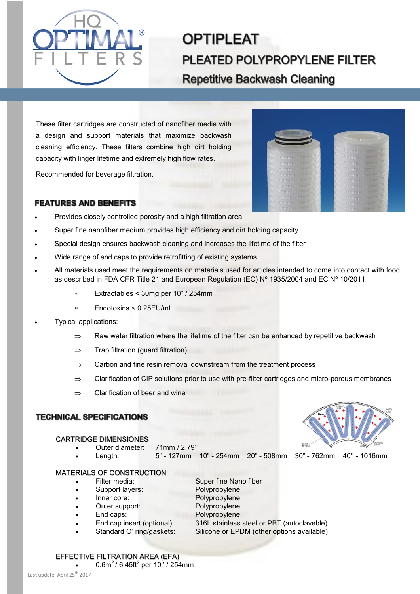

# **OPTIPLEAT** PLEATED POLYPROPYLENE FILTER **Repetitive Backwash Cleaning**

These filter cartridges are constructed of nanofiber media with a design and support materials that maximize backwash cleaning efficiency. These filters combine high dirt holding capacity with linger lifetime and extremely high flow rates.

Recommended for beverage filtration.



## **FEATURES AND BENEFITS**

- Provides closely controlled porosity and a high filtration area
- Super fine nanofiber medium provides high efficiency and dirt holding capacity
- Special design ensures backwash cleaning and increases the lifetime of the filter
- Wide range of end caps to provide retrofitting of existing systems
- All materials used meet the requirements on materials used for articles intended to come into contact with food as described in FDA CFR Title 21 and European Regulation (EC) Nº 1935/2004 and EC Nº 10/2011
	- Extractables < 30mg per 10" / 254mm
	- Endotoxins < 0.25EU/ml
- Typical applications:
	- $\Rightarrow$  Raw water filtration where the lifetime of the filter can be enhanced by repetitive backwash
	- $\Rightarrow$  Trap filtration (guard filtration)
	- $\Rightarrow$  Carbon and fine resin removal downstream from the treatment process
	- $\Rightarrow$  Clarification of CIP solutions prior to use with pre-filter cartridges and micro-porous membranes
	- $\Rightarrow$  Clarification of beer and wine

### **TECHNICAL SPECIFICATIONS**

#### CARTRIDGE DIMENSIONES

- Outer diameter: 71mm / 2.79''
	- Length: 5" 127mm 10" 254mm 20" 508mm 30" 762mm 40'' 1016mm

#### MATERIALS OF CONSTRUCTION

- Filter media: Super fine Nano fiber
- Support layers: Polypropylene
- Inner core: Polypropylene
- 
- Outer support: Polypropylene
	-
- 
- End caps: Polypropylene • End cap insert (optional): 316L stainless steel or PBT (autoclaveble)
	- Standard O' ring/gaskets: Silicone or EPDM (other options available)